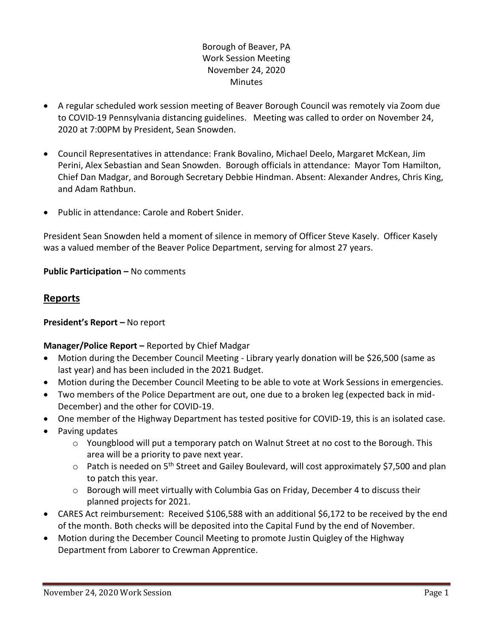## Borough of Beaver, PA Work Session Meeting November 24, 2020 **Minutes**

- A regular scheduled work session meeting of Beaver Borough Council was remotely via Zoom due to COVID-19 Pennsylvania distancing guidelines. Meeting was called to order on November 24, 2020 at 7:00PM by President, Sean Snowden.
- Council Representatives in attendance: Frank Bovalino, Michael Deelo, Margaret McKean, Jim Perini, Alex Sebastian and Sean Snowden. Borough officials in attendance: Mayor Tom Hamilton, Chief Dan Madgar, and Borough Secretary Debbie Hindman. Absent: Alexander Andres, Chris King, and Adam Rathbun.
- Public in attendance: Carole and Robert Snider.

President Sean Snowden held a moment of silence in memory of Officer Steve Kasely. Officer Kasely was a valued member of the Beaver Police Department, serving for almost 27 years.

**Public Participation –** No comments

# **Reports**

### **President's Report –** No report

### **Manager/Police Report –** Reported by Chief Madgar

- Motion during the December Council Meeting Library yearly donation will be \$26,500 (same as last year) and has been included in the 2021 Budget.
- Motion during the December Council Meeting to be able to vote at Work Sessions in emergencies.
- Two members of the Police Department are out, one due to a broken leg (expected back in mid-December) and the other for COVID-19.
- One member of the Highway Department has tested positive for COVID-19, this is an isolated case.
- Paving updates
	- $\circ$  Youngblood will put a temporary patch on Walnut Street at no cost to the Borough. This area will be a priority to pave next year.
	- $\circ$  Patch is needed on 5<sup>th</sup> Street and Gailey Boulevard, will cost approximately \$7,500 and plan to patch this year.
	- $\circ$  Borough will meet virtually with Columbia Gas on Friday, December 4 to discuss their planned projects for 2021.
- CARES Act reimbursement: Received \$106,588 with an additional \$6,172 to be received by the end of the month. Both checks will be deposited into the Capital Fund by the end of November.
- Motion during the December Council Meeting to promote Justin Quigley of the Highway Department from Laborer to Crewman Apprentice.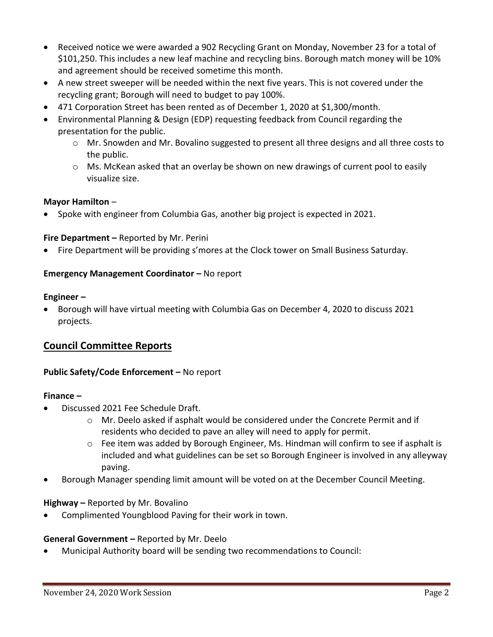- Received notice we were awarded a 902 Recycling Grant on Monday, November 23 for a total of \$101,250. This includes a new leaf machine and recycling bins. Borough match money will be 10% and agreement should be received sometime this month.
- A new street sweeper will be needed within the next five years. This is not covered under the recycling grant; Borough will need to budget to pay 100%.
- 471 Corporation Street has been rented as of December 1, 2020 at \$1,300/month.
- Environmental Planning & Design (EDP) requesting feedback from Council regarding the presentation for the public.
	- o Mr. Snowden and Mr. Bovalino suggested to present all three designs and all three costs to the public.
	- o Ms. McKean asked that an overlay be shown on new drawings of current pool to easily visualize size.

### **Mayor Hamilton** –

• Spoke with engineer from Columbia Gas, another big project is expected in 2021.

#### **Fire Department –** Reported by Mr. Perini

• Fire Department will be providing s'mores at the Clock tower on Small Business Saturday.

#### **Emergency Management Coordinator - No report**

#### **Engineer –**

• Borough will have virtual meeting with Columbia Gas on December 4, 2020 to discuss 2021 projects.

# **Council Committee Reports**

#### **Public Safety/Code Enforcement –** No report

#### **Finance –**

- Discussed 2021 Fee Schedule Draft.
	- o Mr. Deelo asked if asphalt would be considered under the Concrete Permit and if residents who decided to pave an alley will need to apply for permit.
	- $\circ$  Fee item was added by Borough Engineer, Ms. Hindman will confirm to see if asphalt is included and what guidelines can be set so Borough Engineer is involved in any alleyway paving.
- Borough Manager spending limit amount will be voted on at the December Council Meeting.

#### **Highway –** Reported by Mr. Bovalino

• Complimented Youngblood Paving for their work in town.

#### **General Government –** Reported by Mr. Deelo

• Municipal Authority board will be sending two recommendations to Council: